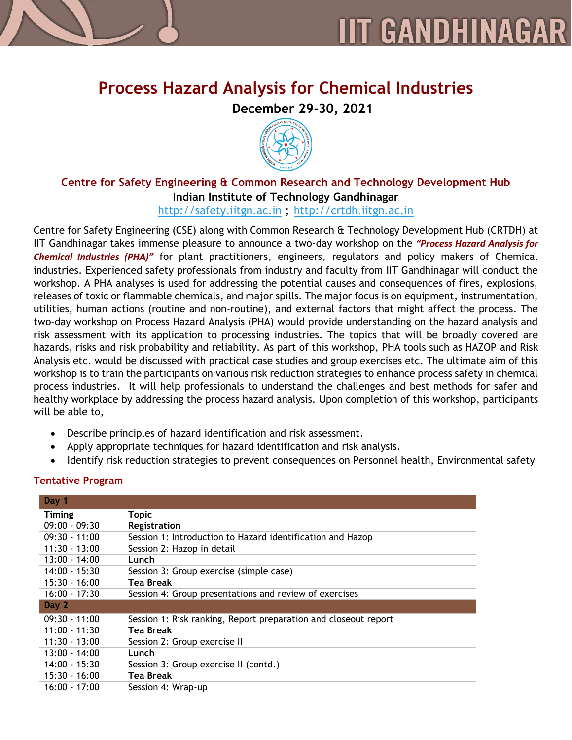

# **Process Hazard Analysis for Chemical Industries**

**December 29-30, 2021**



## **Centre for Safety Engineering & Common Research and Technology Development Hub Indian Institute of Technology Gandhinagar**

[http://safety.iitgn.ac.in](http://safety.iitgn.ac.in/) ; [http://crtdh.iitgn.ac.in](http://crtdh.iitgn.ac.in/)

Centre for Safety Engineering (CSE) along with Common Research & Technology Development Hub (CRTDH) at IIT Gandhinagar takes immense pleasure to announce a two-day workshop on the *"Process Hazard Analysis for Chemical Industries (PHA)"* for plant practitioners, engineers, regulators and policy makers of Chemical industries. Experienced safety professionals from industry and faculty from IIT Gandhinagar will conduct the workshop. A PHA analyses is used for addressing the potential causes and consequences of fires, explosions, releases of toxic or flammable chemicals, and major spills. The major focus is on equipment, instrumentation, utilities, human actions (routine and non-routine), and external factors that might affect the process. The two-day workshop on Process Hazard Analysis (PHA) would provide understanding on the hazard analysis and risk assessment with its application to processing industries. The topics that will be broadly covered are hazards, risks and risk probability and reliability. As part of this workshop, PHA tools such as HAZOP and Risk Analysis etc. would be discussed with practical case studies and group exercises etc. The ultimate aim of this workshop is to train the participants on various risk reduction strategies to enhance process safety in chemical process industries. It will help professionals to understand the challenges and best methods for safer and healthy workplace by addressing the process hazard analysis. Upon completion of this workshop, participants will be able to,

- Describe principles of hazard identification and risk assessment.
- Apply appropriate techniques for hazard identification and risk analysis.
- Identify risk reduction strategies to prevent consequences on Personnel health, Environmental safety

| Day 1           |                                                                 |
|-----------------|-----------------------------------------------------------------|
| <b>Timing</b>   | <b>Topic</b>                                                    |
| $09:00 - 09:30$ | Registration                                                    |
| $09:30 - 11:00$ | Session 1: Introduction to Hazard identification and Hazop      |
| $11:30 - 13:00$ | Session 2: Hazop in detail                                      |
| $13:00 - 14:00$ | Lunch                                                           |
| $14:00 - 15:30$ | Session 3: Group exercise (simple case)                         |
| $15:30 - 16:00$ | <b>Tea Break</b>                                                |
| $16:00 - 17:30$ | Session 4: Group presentations and review of exercises          |
| Day 2           |                                                                 |
| $09:30 - 11:00$ | Session 1: Risk ranking, Report preparation and closeout report |
| $11:00 - 11:30$ | <b>Tea Break</b>                                                |
| $11:30 - 13:00$ | Session 2: Group exercise II                                    |
| $13:00 - 14:00$ | Lunch                                                           |
| $14:00 - 15:30$ | Session 3: Group exercise II (contd.)                           |
| $15:30 - 16:00$ | Tea Break                                                       |
| $16:00 - 17:00$ | Session 4: Wrap-up                                              |

### **Tentative Program**